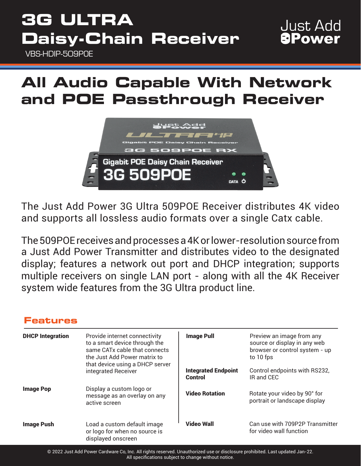# **3G ULTRA Daisy-Chain Receiver**

VBS-HDIP-509POE

### **Just Add** *<u>BPower</u>*

### **All Audio Capable With Network and POE Passthrough Receiver**



The Just Add Power 3G Ultra 509POE Receiver distributes 4K video and supports all lossless audio formats over a single Catx cable.

The 509POE receives and processes a 4K or lower-resolution source from a Just Add Power Transmitter and distributes video to the designated display; features a network out port and DHCP integration; supports multiple receivers on single LAN port - along with all the 4K Receiver system wide features from the 3G Ultra product line.

### **Features**

| <b>DHCP Integration</b> | Provide internet connectivity<br>to a smart device through the<br>same CATx cable that connects<br>the Just Add Power matrix to<br>that device using a DHCP server<br>integrated Receiver | <b>Image Pull</b>                     | Preview an image from any<br>source or display in any web<br>browser or control system - up<br>to 10 fps |
|-------------------------|-------------------------------------------------------------------------------------------------------------------------------------------------------------------------------------------|---------------------------------------|----------------------------------------------------------------------------------------------------------|
|                         |                                                                                                                                                                                           | <b>Integrated Endpoint</b><br>Control | Control endpoints with RS232,<br>IR and CEC                                                              |
| <b>Image Pop</b>        | Display a custom logo or<br>message as an overlay on any<br>active screen                                                                                                                 | <b>Video Rotation</b>                 | Rotate your video by 90° for<br>portrait or landscape display                                            |
| <b>Image Push</b>       | Load a custom default image<br>or logo for when no source is<br>displayed onscreen                                                                                                        | <b>Video Wall</b>                     | Can use with 709P2P Transmitter<br>for video wall function                                               |

© 2022 Just Add Power Cardware Co, Inc. All rights reserved. Unauthorized use or disclosure prohibited. Last updated Jan-22. All specifications subject to change without notice.